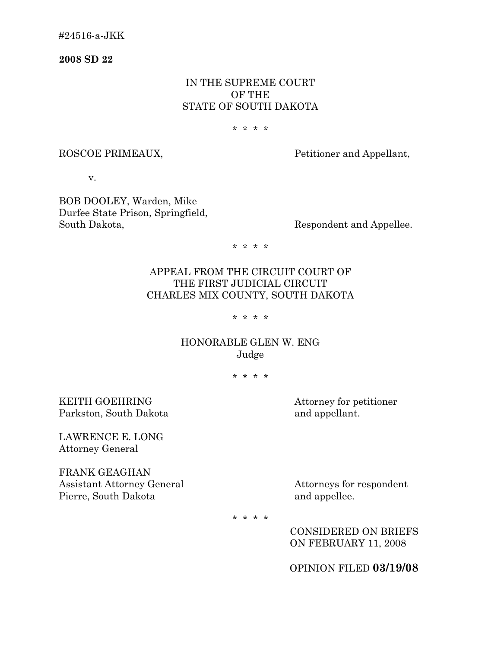**2008 SD 22** 

## IN THE SUPREME COURT OF THE STATE OF SOUTH DAKOTA

#### \* \* \* \*

ROSCOE PRIMEAUX, Petitioner and Appellant,

v.

BOB DOOLEY, Warden, Mike Durfee State Prison, Springfield, South Dakota, Respondent and Appellee.

\* \* \* \*

# APPEAL FROM THE CIRCUIT COURT OF THE FIRST JUDICIAL CIRCUIT CHARLES MIX COUNTY, SOUTH DAKOTA

\* \* \* \*

## HONORABLE GLEN W. ENG Judge

\* \* \* \*

KEITH GOEHRING Attorney for petitioner Parkston, South Dakota and appellant.

LAWRENCE E. LONG Attorney General

FRANK GEAGHAN Assistant Attorney General Attorneys for respondent Pierre, South Dakota and appellee.

\* \* \* \*

 CONSIDERED ON BRIEFS ON FEBRUARY 11, 2008

OPINION FILED **03/19/08**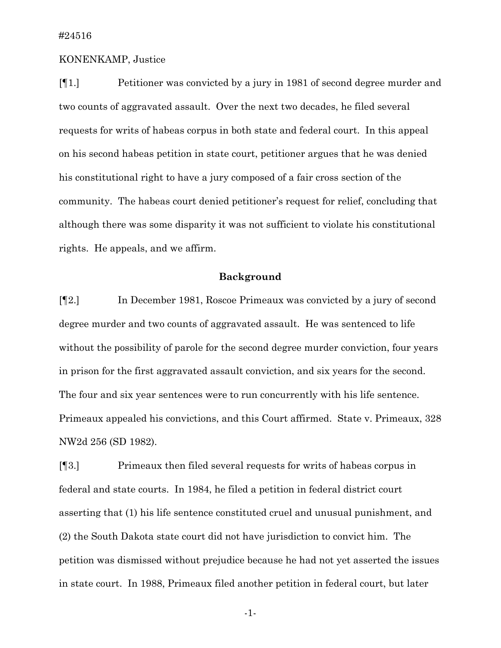### KONENKAMP, Justice

[¶1.] Petitioner was convicted by a jury in 1981 of second degree murder and two counts of aggravated assault. Over the next two decades, he filed several requests for writs of habeas corpus in both state and federal court. In this appeal on his second habeas petition in state court, petitioner argues that he was denied his constitutional right to have a jury composed of a fair cross section of the community. The habeas court denied petitioner's request for relief, concluding that although there was some disparity it was not sufficient to violate his constitutional rights. He appeals, and we affirm.

## **Background**

[¶2.] In December 1981, Roscoe Primeaux was convicted by a jury of second degree murder and two counts of aggravated assault. He was sentenced to life without the possibility of parole for the second degree murder conviction, four years in prison for the first aggravated assault conviction, and six years for the second. The four and six year sentences were to run concurrently with his life sentence. Primeaux appealed his convictions, and this Court affirmed. State v. Primeaux, 328 NW2d 256 (SD 1982).

[¶3.] Primeaux then filed several requests for writs of habeas corpus in federal and state courts. In 1984, he filed a petition in federal district court asserting that (1) his life sentence constituted cruel and unusual punishment, and (2) the South Dakota state court did not have jurisdiction to convict him. The petition was dismissed without prejudice because he had not yet asserted the issues in state court. In 1988, Primeaux filed another petition in federal court, but later

-1-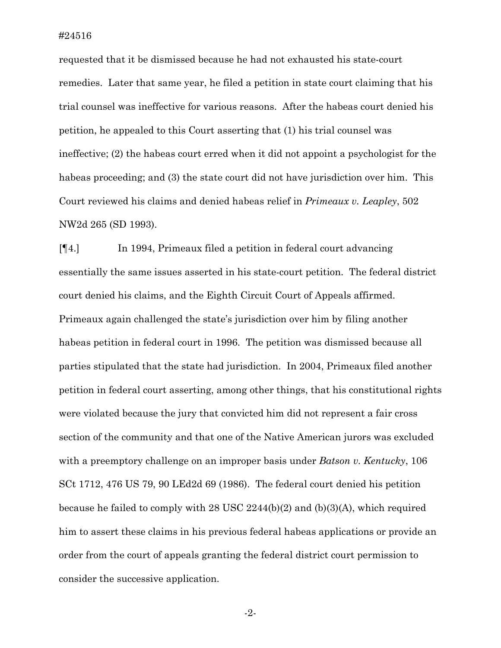requested that it be dismissed because he had not exhausted his state-court remedies. Later that same year, he filed a petition in state court claiming that his trial counsel was ineffective for various reasons. After the habeas court denied his petition, he appealed to this Court asserting that (1) his trial counsel was ineffective; (2) the habeas court erred when it did not appoint a psychologist for the habeas proceeding; and (3) the state court did not have jurisdiction over him. This Court reviewed his claims and denied habeas relief in *Primeaux v. Leapley*, 502 NW2d 265 (SD 1993).

[¶4.] In 1994, Primeaux filed a petition in federal court advancing essentially the same issues asserted in his state-court petition. The federal district court denied his claims, and the Eighth Circuit Court of Appeals affirmed. Primeaux again challenged the state's jurisdiction over him by filing another habeas petition in federal court in 1996. The petition was dismissed because all parties stipulated that the state had jurisdiction. In 2004, Primeaux filed another petition in federal court asserting, among other things, that his constitutional rights were violated because the jury that convicted him did not represent a fair cross section of the community and that one of the Native American jurors was excluded with a preemptory challenge on an improper basis under *Batson v. Kentucky*, 106 SCt 1712, 476 US 79, 90 LEd2d 69 (1986). The federal court denied his petition because he failed to comply with 28 USC 2244(b)(2) and (b)(3)(A), which required him to assert these claims in his previous federal habeas applications or provide an order from the court of appeals granting the federal district court permission to consider the successive application.

-2-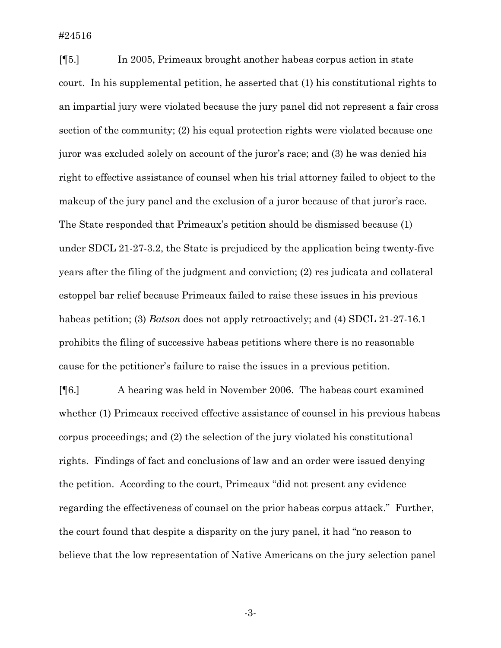[¶5.] In 2005, Primeaux brought another habeas corpus action in state court. In his supplemental petition, he asserted that (1) his constitutional rights to an impartial jury were violated because the jury panel did not represent a fair cross section of the community; (2) his equal protection rights were violated because one juror was excluded solely on account of the juror's race; and (3) he was denied his right to effective assistance of counsel when his trial attorney failed to object to the makeup of the jury panel and the exclusion of a juror because of that juror's race. The State responded that Primeaux's petition should be dismissed because (1) under SDCL 21-27-3.2, the State is prejudiced by the application being twenty-five years after the filing of the judgment and conviction; (2) res judicata and collateral estoppel bar relief because Primeaux failed to raise these issues in his previous habeas petition; (3) *Batson* does not apply retroactively; and (4) SDCL 21-27-16.1 prohibits the filing of successive habeas petitions where there is no reasonable cause for the petitioner's failure to raise the issues in a previous petition.

[¶6.] A hearing was held in November 2006. The habeas court examined whether (1) Primeaux received effective assistance of counsel in his previous habeas corpus proceedings; and (2) the selection of the jury violated his constitutional rights. Findings of fact and conclusions of law and an order were issued denying the petition. According to the court, Primeaux "did not present any evidence regarding the effectiveness of counsel on the prior habeas corpus attack." Further, the court found that despite a disparity on the jury panel, it had "no reason to believe that the low representation of Native Americans on the jury selection panel

-3-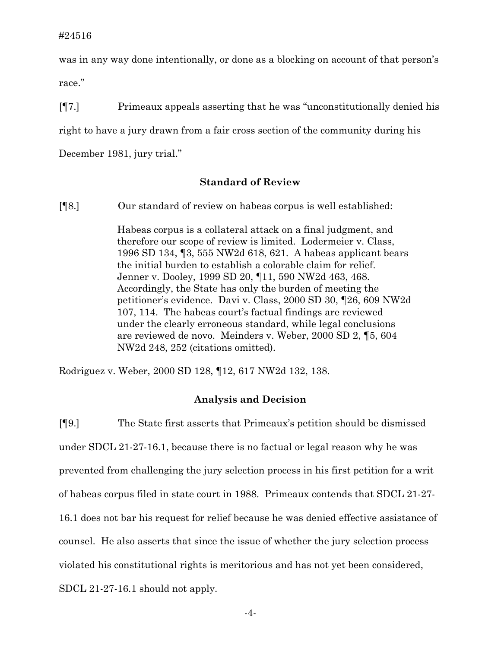was in any way done intentionally, or done as a blocking on account of that person's race."

[¶7.] Primeaux appeals asserting that he was "unconstitutionally denied his right to have a jury drawn from a fair cross section of the community during his December 1981, jury trial."

## **Standard of Review**

[¶8.] Our standard of review on habeas corpus is well established:

Habeas corpus is a collateral attack on a final judgment, and therefore our scope of review is limited. Lodermeier v. Class, 1996 SD 134, ¶3, 555 NW2d 618, 621. A habeas applicant bears the initial burden to establish a colorable claim for relief. Jenner v. Dooley, 1999 SD 20, ¶11, 590 NW2d 463, 468. Accordingly, the State has only the burden of meeting the petitioner's evidence. Davi v. Class, 2000 SD 30, ¶26, 609 NW2d 107, 114. The habeas court's factual findings are reviewed under the clearly erroneous standard, while legal conclusions are reviewed de novo. Meinders v. Weber, 2000 SD 2, ¶5, 604 NW2d 248, 252 (citations omitted).

Rodriguez v. Weber, 2000 SD 128, ¶12, 617 NW2d 132, 138.

#### **Analysis and Decision**

[¶9.] The State first asserts that Primeaux's petition should be dismissed under SDCL 21-27-16.1, because there is no factual or legal reason why he was prevented from challenging the jury selection process in his first petition for a writ of habeas corpus filed in state court in 1988. Primeaux contends that SDCL 21-27- 16.1 does not bar his request for relief because he was denied effective assistance of counsel. He also asserts that since the issue of whether the jury selection process violated his constitutional rights is meritorious and has not yet been considered, SDCL 21-27-16.1 should not apply.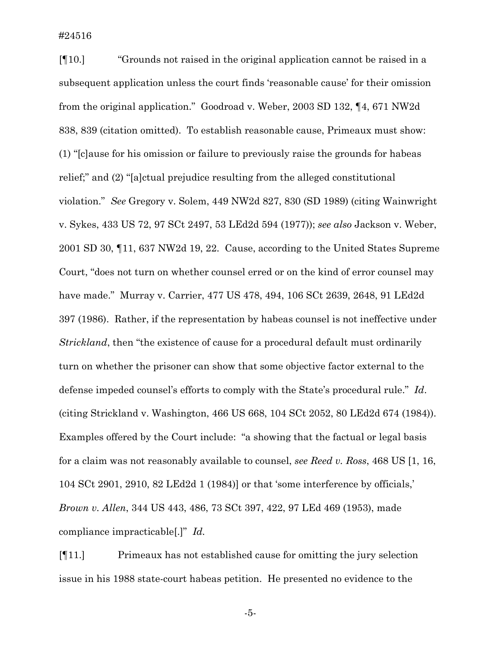#24516

[¶10.] "Grounds not raised in the original application cannot be raised in a subsequent application unless the court finds 'reasonable cause' for their omission from the original application." Goodroad v. Weber, 2003 SD 132, ¶4, 671 NW2d 838, 839 (citation omitted). To establish reasonable cause, Primeaux must show: (1) "[c]ause for his omission or failure to previously raise the grounds for habeas relief;" and (2) "[a]ctual prejudice resulting from the alleged constitutional violation." *See* Gregory v. Solem, 449 NW2d 827, 830 (SD 1989) (citing Wainwright v. Sykes, 433 US 72, 97 SCt 2497, 53 LEd2d 594 (1977)); *see also* Jackson v. Weber, 2001 SD 30, ¶11, 637 NW2d 19, 22. Cause, according to the United States Supreme Court, "does not turn on whether counsel erred or on the kind of error counsel may have made." Murray v. Carrier, 477 US 478, 494, 106 SCt 2639, 2648, 91 LEd2d 397 (1986). Rather, if the representation by habeas counsel is not ineffective under *Strickland*, then "the existence of cause for a procedural default must ordinarily turn on whether the prisoner can show that some objective factor external to the defense impeded counsel's efforts to comply with the State's procedural rule." *Id*. (citing Strickland v. Washington, 466 US 668, 104 SCt 2052, 80 LEd2d 674 (1984)). Examples offered by the Court include: "a showing that the factual or legal basis for a claim was not reasonably available to counsel, *see Reed v. Ross*, 468 US [1, 16, 104 SCt 2901, 2910, 82 LEd2d 1 (1984)] or that 'some interference by officials,' *Brown v. Allen*, 344 US 443, 486, 73 SCt 397, 422, 97 LEd 469 (1953), made compliance impracticable[.]" *Id.*

[¶11.] Primeaux has not established cause for omitting the jury selection issue in his 1988 state-court habeas petition. He presented no evidence to the

-5-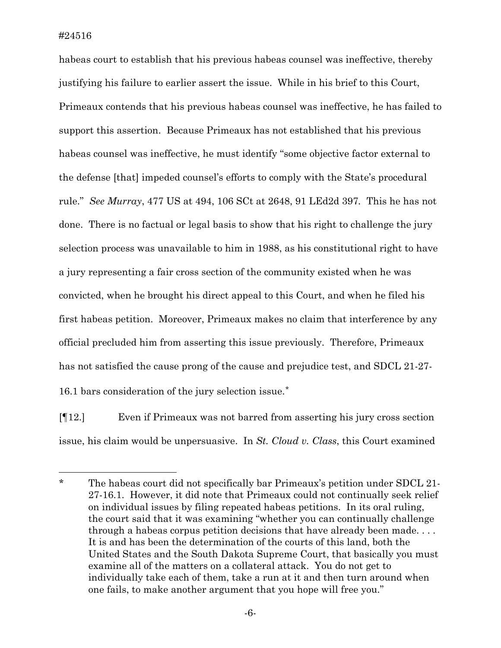$\overline{a}$ 

habeas court to establish that his previous habeas counsel was ineffective, thereby justifying his failure to earlier assert the issue. While in his brief to this Court, Primeaux contends that his previous habeas counsel was ineffective, he has failed to support this assertion. Because Primeaux has not established that his previous habeas counsel was ineffective, he must identify "some objective factor external to the defense [that] impeded counsel's efforts to comply with the State's procedural rule." *See Murray*, 477 US at 494, 106 SCt at 2648, 91 LEd2d 397*.* This he has not done. There is no factual or legal basis to show that his right to challenge the jury selection process was unavailable to him in 1988, as his constitutional right to have a jury representing a fair cross section of the community existed when he was convicted, when he brought his direct appeal to this Court, and when he filed his first habeas petition. Moreover, Primeaux makes no claim that interference by any official precluded him from asserting this issue previously. Therefore, Primeaux has not satisfied the cause prong of the cause and prejudice test, and SDCL 21-27- 16.1 bars consideration of the jury selection issue.[\\*](#page-6-0)

[¶12.] Even if Primeaux was not barred from asserting his jury cross section issue, his claim would be unpersuasive. In *St. Cloud v. Class*, this Court examined

<span id="page-6-0"></span><sup>\*</sup> The habeas court did not specifically bar Primeaux's petition under SDCL 21- 27-16.1. However, it did note that Primeaux could not continually seek relief on individual issues by filing repeated habeas petitions. In its oral ruling, the court said that it was examining "whether you can continually challenge through a habeas corpus petition decisions that have already been made. . . . It is and has been the determination of the courts of this land, both the United States and the South Dakota Supreme Court, that basically you must examine all of the matters on a collateral attack. You do not get to individually take each of them, take a run at it and then turn around when one fails, to make another argument that you hope will free you."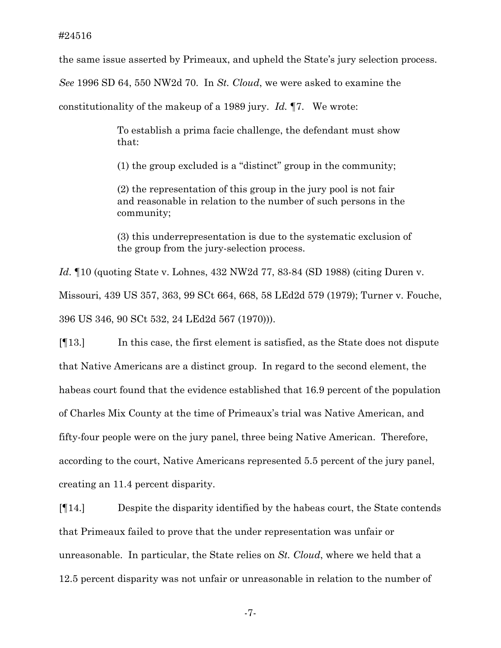the same issue asserted by Primeaux, and upheld the State's jury selection process.

*See* 1996 SD 64, 550 NW2d 70. In *St. Cloud*, we were asked to examine the

constitutionality of the makeup of a 1989 jury. *Id.* ¶7. We wrote:

To establish a prima facie challenge, the defendant must show that:

(1) the group excluded is a "distinct" group in the community;

(2) the representation of this group in the jury pool is not fair and reasonable in relation to the number of such persons in the community;

(3) this underrepresentation is due to the systematic exclusion of the group from the jury-selection process.

*Id*. ¶10 (quoting State v. Lohnes, 432 NW2d 77, 83-84 (SD 1988) (citing Duren v. Missouri, 439 US 357, 363, 99 SCt 664, 668, 58 LEd2d 579 (1979); Turner v. Fouche, 396 US 346, 90 SCt 532, 24 LEd2d 567 (1970))).

[¶13.] In this case, the first element is satisfied, as the State does not dispute that Native Americans are a distinct group. In regard to the second element, the habeas court found that the evidence established that 16.9 percent of the population of Charles Mix County at the time of Primeaux's trial was Native American, and fifty-four people were on the jury panel, three being Native American. Therefore, according to the court, Native Americans represented 5.5 percent of the jury panel, creating an 11.4 percent disparity.

[¶14.] Despite the disparity identified by the habeas court, the State contends that Primeaux failed to prove that the under representation was unfair or unreasonable. In particular, the State relies on *St. Cloud*, where we held that a 12.5 percent disparity was not unfair or unreasonable in relation to the number of

-7-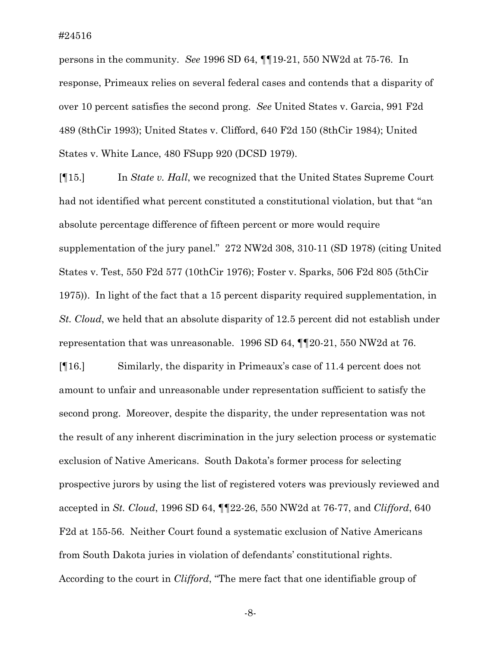persons in the community. *See* 1996 SD 64, ¶¶19-21, 550 NW2d at 75-76. In response, Primeaux relies on several federal cases and contends that a disparity of over 10 percent satisfies the second prong. *See* United States v. Garcia, 991 F2d 489 (8thCir 1993); United States v. Clifford, 640 F2d 150 (8thCir 1984); United States v. White Lance, 480 FSupp 920 (DCSD 1979).

[¶15.] In *State v. Hall*, we recognized that the United States Supreme Court had not identified what percent constituted a constitutional violation, but that "an absolute percentage difference of fifteen percent or more would require supplementation of the jury panel." 272 NW2d 308, 310-11 (SD 1978) (citing United States v. Test, 550 F2d 577 (10thCir 1976); Foster v. Sparks, 506 F2d 805 (5thCir 1975)). In light of the fact that a 15 percent disparity required supplementation, in *St. Cloud*, we held that an absolute disparity of 12.5 percent did not establish under representation that was unreasonable. 1996 SD 64, ¶¶20-21, 550 NW2d at 76.

[¶16.] Similarly, the disparity in Primeaux's case of 11.4 percent does not amount to unfair and unreasonable under representation sufficient to satisfy the second prong. Moreover, despite the disparity, the under representation was not the result of any inherent discrimination in the jury selection process or systematic exclusion of Native Americans. South Dakota's former process for selecting prospective jurors by using the list of registered voters was previously reviewed and accepted in *St. Cloud*, 1996 SD 64, ¶¶22-26, 550 NW2d at 76-77, and *Clifford*, 640 F2d at 155-56. Neither Court found a systematic exclusion of Native Americans from South Dakota juries in violation of defendants' constitutional rights. According to the court in *Clifford*, "The mere fact that one identifiable group of

-8-